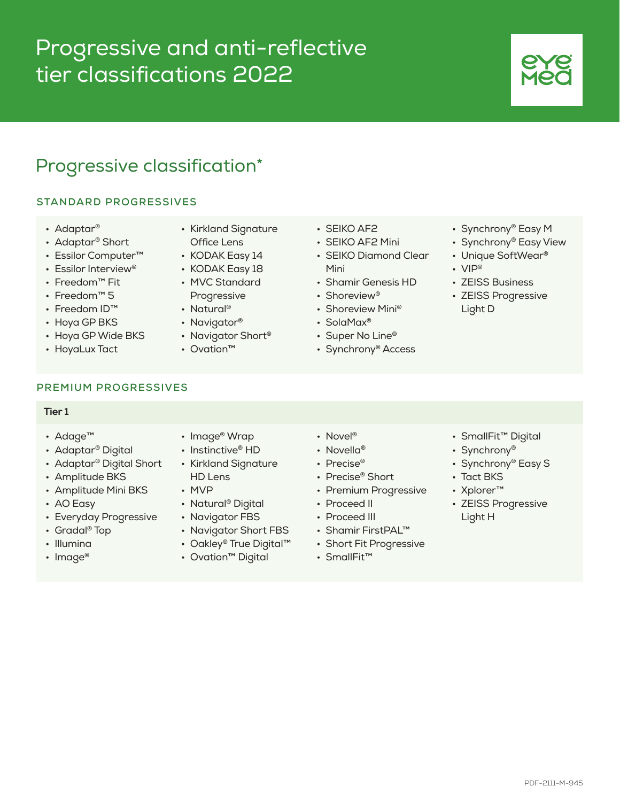# Progressive and anti-reflective tier classifications 2022

## Progressive classification\*

### **STANDARD PROGRESSIVES**

- Adaptar®
- Adaptar® Short
- Essilor Computer™
- Essilor Interview®
- Freedom™ Fit
- Freedom™ 5
- Freedom ID™
- Hoya GP BKS
- Hoya GP Wide BKS
- HoyaLux Tact
- Kirkland Signature
- Office Lens
- KODAK Easy 14
- KODAK Easy 18 • MVC Standard
- Progressive • Natural®
- Navigator®
- Navigator Short<sup>®</sup>
- Ovation™
- SEIKO AF2
- SEIKO AF2 Mini
- SEIKO Diamond Clear Mini
- Shamir Genesis HD
- Shoreview®
- Shoreview Mini®
- SolaMax®
- Super No Line<sup>®</sup>
- Synchrony® Access

**PREMIUM PROGRESSIVES**

### **Tier 1**

- Adage™
- Adaptar® Digital
- Adaptar® Digital Short
- Amplitude BKS
- Amplitude Mini BKS
- AO Easy
- Everyday Progressive
- Gradal® Top
- Illumina
- Image<sup>®</sup>
- Image® Wrap
- Instinctive<sup>®</sup> HD
- Kirkland Signature HD Lens
- MVP
- Natural® Digital
- Navigator FBS
- Navigator Short FBS
- Oakley® True Digital™
- Ovation™ Digital
- Novel<sup>®</sup>
- Novella<sup>®</sup>
- Precise<sup>®</sup>
- Precise® Short
- Premium Progressive
- Proceed II
- Proceed III
- Shamir FirstPAL™
- Short Fit Progressive
- SmallFit™

• SmallFit™ Digital

• Synchrony® Easy M • Synchrony® Easy View • Unique SoftWear®

• ZEISS Business • ZEISS Progressive

• VIP®

Light D

- Synchrony®
- Synchrony® Easy S
- Tact BKS
- Xplorer™
- ZEISS Progressive Light H
- - -
		-
		-
		-
		-
		-
- 
-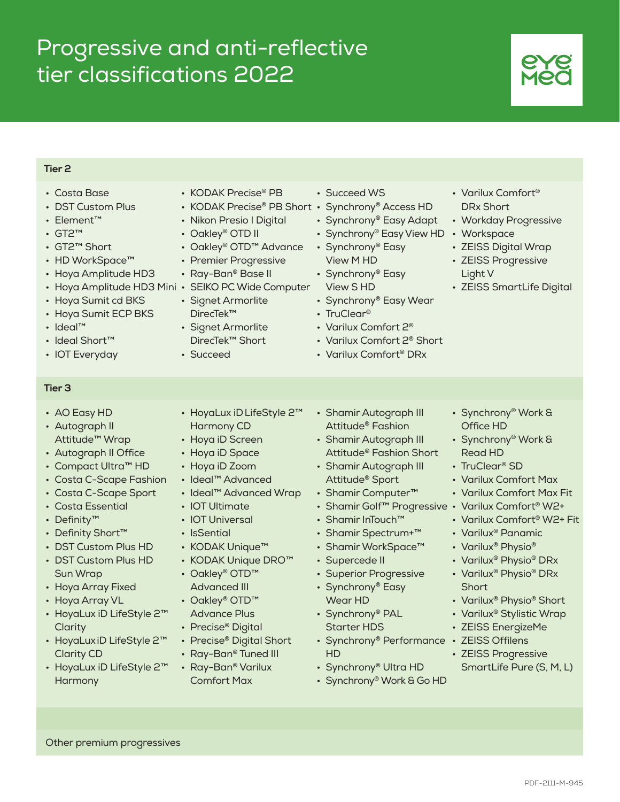# Progressive and anti-reflective tier classifications 2022

### **Tier 2**

- Costa Base
- DST Custom Plus
- Element™
- GT2™
- GT2™ Short
- HD WorkSpace™
- Hoya Amplitude HD3
- Hoya Amplitude HD3 Mini SEIKO PC Wide Computer
- Hoya Sumit cd BKS
- Hoya Sumit ECP BKS
- Ideal™
- Ideal Short™
- IOT Everyday
- **Tier 3**
- AO Easy HD
- Autograph II Attitude™ Wrap
- Autograph II Office
- Compact Ultra™ HD
- Costa C-Scape Fashion
- Costa C-Scape Sport
- Costa Essential
- Definity™
- Definity Short™
- DST Custom Plus HD • DST Custom Plus HD
- Sun Wrap • Hoya Array Fixed
- Hoya Array VL
- HoyaLux iD LifeStyle 2™ **Clarity**
- HoyaLux iD LifeStyle 2™ Clarity CD
- HoyaLux iD LifeStyle 2™ **Harmony**
- KODAK Precise® PB
- KODAK Precise® PB Short Synchrony® Access HD
- Nikon Presio I Digital
- Oakley® OTD II
- Oakley® OTD™ Advance
- Premier Progressive
- Ray-Ban® Base II
- 

• HoyaLux iDLifeStyle 2™

- Signet Armorlite DirecTek™
- Signet Armorlite DirecTek™ Short

Harmony CD • Hoya iD Screen • Hoya iD Space • Hoya iD Zoom • Ideal™ Advanced • Ideal™ Advanced Wrap

• IOT Ultimate • IOT Universal • IsSential

• KODAK Unique™ • KODAK Unique DRO™

• Oakley® OTD™ Advanced III • Oakley® OTD™ Advance Plus • Precise® Digital • Precise® Digital Short • Ray-Ban® Tuned III • Ray-Ban® Varilux Comfort Max

• Succeed

- Succeed WS
- 
- Synchrony® Easy Adapt
- Synchrony® Easy View HD
- Synchrony® Easy View M HD
- Synchrony® Easy View S HD
- Synchrony® Easy Wear
- TruClear<sup>®</sup>
- Varilux Comfort 2®
- Varilux Comfort 2® Short
- Varilux Comfort® DRx
- Shamir Autograph III Attitude® Fashion
- Shamir Autograph III Attitude® Fashion Short
- Shamir Autograph III Attitude® Sport
- Shamir Computer™
- Shamir Golf™ Progressive Varilux Comfort® W2+
- Shamir InTouch™
- Shamir Spectrum+™
- Shamir WorkSpace™
- Supercede II
- Superior Progressive
- Synchrony® Easy Wear HD
- Synchrony® PAL
- Starter HDS
	- HD
	- Synchrony® Ultra HD
	- Synchrony® Work & Go HD

• Synchrony® Work & Office HD

• Varilux Comfort® DRx Short

• Workspace

Light V

• Workday Progressive

• ZEISS SmartLife Digital

• ZEISS Digital Wrap • ZEISS Progressive

- Synchrony® Work & Read HD
- TruClear<sup>®</sup> SD
- Varilux Comfort Max
- Varilux Comfort Max Fit
- 
- Varilux Comfort® W2+ Fit
- Varilux® Panamic
- Varilux<sup>®</sup> Physio<sup>®</sup>
- Varilux® Physio® DRx
- Varilux® Physio® DRx **Short**
- Varilux® Physio® Short
- Varilux® Stylistic Wrap
- ZEISS EnergizeMe
- Synchrony® Performance ZEISS Offilens
	- ZEISS Progressive SmartLife Pure (S, M, L)

Other premium progressives